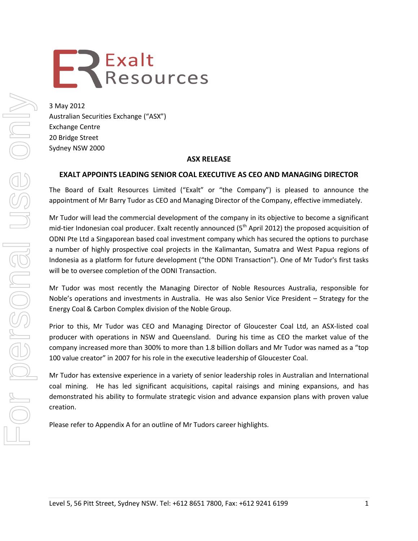# **EREXALTS**<br>
Resources

3 May 2012 Australian Securities Exchange ("ASX") Exchange Centre 20 Bridge Street Sydney NSW 2000

# **ASX RELEASE**

# **EXALT APPOINTS LEADING SENIOR COAL EXECUTIVE AS CEO AND MANAGING DIRECTOR**

The Board of Exalt Resources Limited ("Exalt" or "the Company") is pleased to announce the appointment of Mr Barry Tudor as CEO and Managing Director of the Company, effective immediately.

Mr Tudor will lead the commercial development of the company in its objective to become a significant mid-tier Indonesian coal producer. Exalt recently announced (5<sup>th</sup> April 2012) the proposed acquisition of ODNI Pte Ltd a Singaporean based coal investment company which has secured the options to purchase a number of highly prospective coal projects in the Kalimantan, Sumatra and West Papua regions of Indonesia as a platform for future development ("the ODNI Transaction"). One of Mr Tudor's first tasks will be to oversee completion of the ODNI Transaction.

Mr Tudor was most recently the Managing Director of Noble Resources Australia, responsible for Noble's operations and investments in Australia. He was also Senior Vice President – Strategy for the Energy Coal & Carbon Complex division of the Noble Group.

Prior to this, Mr Tudor was CEO and Managing Director of Gloucester Coal Ltd, an ASX-listed coal producer with operations in NSW and Queensland. During his time as CEO the market value of the company increased more than 300% to more than 1.8 billion dollars and Mr Tudor was named as a "top 100 value creator" in 2007 for his role in the executive leadership of Gloucester Coal.

Mr Tudor has extensive experience in a variety of senior leadership roles in Australian and International coal mining. He has led significant acquisitions, capital raisings and mining expansions, and has demonstrated his ability to formulate strategic vision and advance expansion plans with proven value creation.

Please refer to Appendix A for an outline of Mr Tudors career highlights.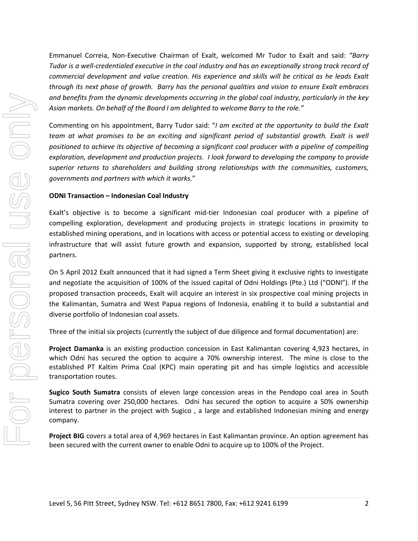Emmanuel Correia, Non-Executive Chairman of Exalt, welcomed Mr Tudor to Exalt and said: *"Barry Tudor is a well-credentialed executive in the coal industry and has an exceptionally strong track record of commercial development and value creation. His experience and skills will be critical as he leads Exalt through its next phase of growth. Barry has the personal qualities and vision to ensure Exalt embraces and benefits from the dynamic developments occurring in the global coal industry, particularly in the key Asian markets. On behalf of the Board I am delighted to welcome Barry to the role."* 

Commenting on his appointment, Barry Tudor said: "*I am excited at the opportunity to build the Exalt team at what promises to be an exciting and significant period of substantial growth. Exalt is well positioned to achieve its objective of becoming a significant coal producer with a pipeline of compelling exploration, development and production projects. I look forward to developing the company to provide superior returns to shareholders and building strong relationships with the communities, customers, governments and partners with which it works.*"

## **ODNI Transaction – Indonesian Coal Industry**

Exalt's objective is to become a significant mid-tier Indonesian coal producer with a pipeline of compelling exploration, development and producing projects in strategic locations in proximity to established mining operations, and in locations with access or potential access to existing or developing infrastructure that will assist future growth and expansion, supported by strong, established local partners.

On 5 April 2012 Exalt announced that it had signed a Term Sheet giving it exclusive rights to investigate and negotiate the acquisition of 100% of the issued capital of Odni Holdings (Pte.) Ltd ("ODNI"). If the proposed transaction proceeds, Exalt will acquire an interest in six prospective coal mining projects in the Kalimantan, Sumatra and West Papua regions of Indonesia, enabling it to build a substantial and diverse portfolio of Indonesian coal assets.

Three of the initial six projects (currently the subject of due diligence and formal documentation) are:

**Project Damanka** is an existing production concession in East Kalimantan covering 4,923 hectares, in which Odni has secured the option to acquire a 70% ownership interest. The mine is close to the established PT Kaltim Prima Coal (KPC) main operating pit and has simple logistics and accessible transportation routes.

**Sugico South Sumatra** consists of eleven large concession areas in the Pendopo coal area in South Sumatra covering over 250,000 hectares. Odni has secured the option to acquire a 50% ownership interest to partner in the project with Sugico , a large and established Indonesian mining and energy company.

**Project BIG** covers a total area of 4,969 hectares in East Kalimantan province. An option agreement has been secured with the current owner to enable Odni to acquire up to 100% of the Project.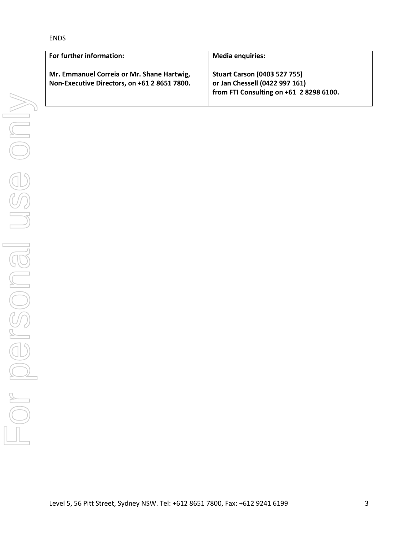ENDS

| For further information:                                                                   | <b>Media enquiries:</b>                                                                                          |
|--------------------------------------------------------------------------------------------|------------------------------------------------------------------------------------------------------------------|
| Mr. Emmanuel Correia or Mr. Shane Hartwig,<br>Non-Executive Directors, on +61 2 8651 7800. | <b>Stuart Carson (0403 527 755)</b><br>or Jan Chessell (0422 997 161)<br>from FTI Consulting on +61 2 8298 6100. |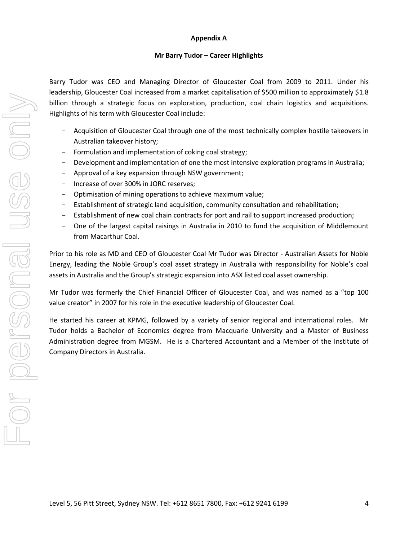## **Appendix A**

## **Mr Barry Tudor – Career Highlights**

Barry Tudor was CEO and Managing Director of Gloucester Coal from 2009 to 2011. Under his leadership, Gloucester Coal increased from a market capitalisation of \$500 million to approximately \$1.8 billion through a strategic focus on exploration, production, coal chain logistics and acquisitions. Highlights of his term with Gloucester Coal include:

- Acquisition of Gloucester Coal through one of the most technically complex hostile takeovers in Australian takeover history;
- Formulation and implementation of coking coal strategy;
- Development and implementation of one the most intensive exploration programs in Australia;
- Approval of a key expansion through NSW government;
- Increase of over 300% in JORC reserves;
- Optimisation of mining operations to achieve maximum value;
- Establishment of strategic land acquisition, community consultation and rehabilitation;
- Establishment of new coal chain contracts for port and rail to support increased production;
- One of the largest capital raisings in Australia in 2010 to fund the acquisition of Middlemount from Macarthur Coal.

Prior to his role as MD and CEO of Gloucester Coal Mr Tudor was Director - Australian Assets for Noble Energy, leading the Noble Group's coal asset strategy in Australia with responsibility for Noble's coal assets in Australia and the Group's strategic expansion into ASX listed coal asset ownership.

Mr Tudor was formerly the Chief Financial Officer of Gloucester Coal, and was named as a "top 100 value creator" in 2007 for his role in the executive leadership of Gloucester Coal.

He started his career at KPMG, followed by a variety of senior regional and international roles. Mr Tudor holds a Bachelor of Economics degree from Macquarie University and a Master of Business Administration degree from MGSM. He is a Chartered Accountant and a Member of the Institute of Company Directors in Australia.